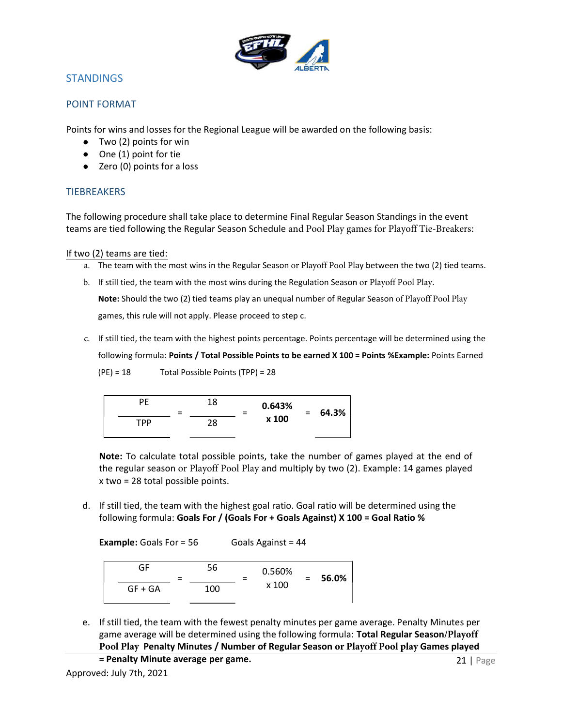

## STANDINGS

#### POINT FORMAT

Points for wins and losses for the Regional League will be awarded on the following basis:

- Two (2) points for win
- One (1) point for tie
- Zero (0) points for a loss

### **TIEBREAKERS**

The following procedure shall take place to determine Final Regular Season Standings in the event teams are tied following the Regular Season Schedule and Pool Play games for Playoff Tie-Breakers:

If two (2) teams are tied:

- a. The team with the most wins in the Regular Season or Playoff Pool Play between the two (2) tied teams.
- b. If still tied, the team with the most wins during the Regulation Season or Playoff Pool Play. Note: Should the two (2) tied teams play an unequal number of Regular Season of Playoff Pool Play games, this rule will not apply. Please proceed to step c.
- c. If still tied, the team with the highest points percentage. Points percentage will be determined using the following formula: Points / Total Possible Points to be earned X 100 = Points %Example: Points Earned
	- (PE) = 18 Total Possible Points (TPP) = 28

PE = 18 = 0.643% x 100 = 64.3% TPP 28

Note: To calculate total possible points, take the number of games played at the end of the regular season or Playoff Pool Play and multiply by two (2). Example: 14 games played x two = 28 total possible points.

d. If still tied, the team with the highest goal ratio. Goal ratio will be determined using the following formula: Goals For / (Goals For + Goals Against) X 100 = Goal Ratio %

**Example:** Goals For  $= 56$  Goals Against  $= 44$ 

| GF        | - | 56  | 0.560% | 56.0% |
|-----------|---|-----|--------|-------|
| $GF + GA$ |   | 100 | x 100  |       |

- e. If still tied, the team with the fewest penalty minutes per game average. Penalty Minutes per game average will be determined using the following formula: Total Regular Season**/Playoff Pool Play** Penalty Minutes / Number of Regular Season **or Playoff Pool play** Games played
	- = Penalty Minute average per game.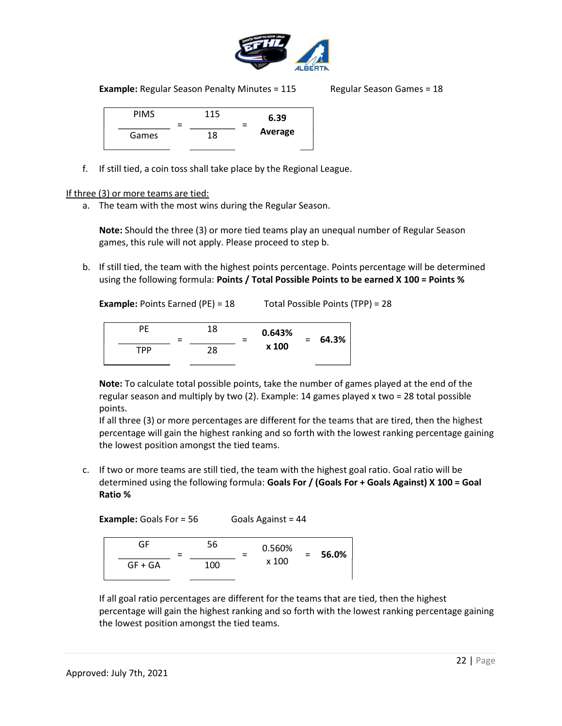

**Example:** Regular Season Penalty Minutes =  $115$  Regular Season Games =  $18$ 

| <b>PIMS</b> | = | 115 | = | 6.39    |  |  |
|-------------|---|-----|---|---------|--|--|
| Games       |   | 18  |   | Average |  |  |

f. If still tied, a coin toss shall take place by the Regional League.

If three (3) or more teams are tied:

a. The team with the most wins during the Regular Season.

Note: Should the three (3) or more tied teams play an unequal number of Regular Season games, this rule will not apply. Please proceed to step b.

b. If still tied, the team with the highest points percentage. Points percentage will be determined using the following formula: Points / Total Possible Points to be earned X 100 = Points %

Example: Points Earned (PE) = 18 Total Possible Points (TPP) = 28

| РF  | $\overline{\phantom{a}}$<br>- | 18 | = | 0.643%<br>x 100 | $=$ | 64.3% |
|-----|-------------------------------|----|---|-----------------|-----|-------|
| TPP |                               | 28 |   |                 |     |       |

Note: To calculate total possible points, take the number of games played at the end of the regular season and multiply by two (2). Example: 14 games played x two = 28 total possible points.

If all three (3) or more percentages are different for the teams that are tired, then the highest percentage will gain the highest ranking and so forth with the lowest ranking percentage gaining the lowest position amongst the tied teams.

c. If two or more teams are still tied, the team with the highest goal ratio. Goal ratio will be determined using the following formula: Goals For / (Goals For + Goals Against) X 100 = Goal Ratio %

**Example:** Goals For  $= 56$  Goals Against  $= 44$ 

| GF        | $\equiv$ | 56  |  | 0.560%<br>x 100 |  | 56.0% |
|-----------|----------|-----|--|-----------------|--|-------|
| $GF + GA$ |          | 100 |  |                 |  |       |

If all goal ratio percentages are different for the teams that are tied, then the highest percentage will gain the highest ranking and so forth with the lowest ranking percentage gaining the lowest position amongst the tied teams.